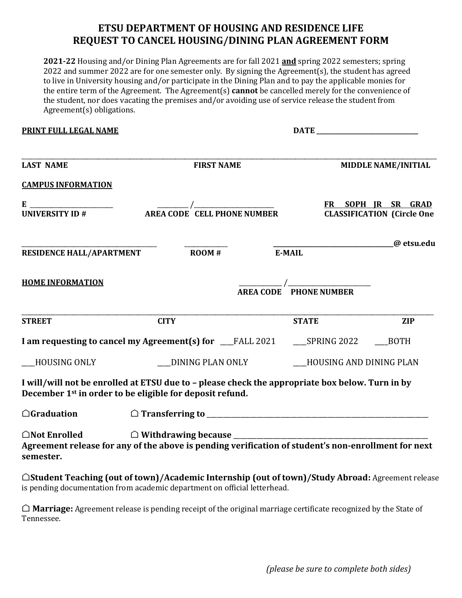## **ETSU DEPARTMENT OF HOUSING AND RESIDENCE LIFE REQUEST TO CANCEL HOUSING/DINING PLAN AGREEMENT FORM**

**2021-22** Housing and/or Dining Plan Agreements are for fall 2021 **and** spring 2022 semesters; spring 2022 and summer 2022 are for one semester only. By signing the Agreement(s), the student has agreed to live in University housing and/or participate in the Dining Plan and to pay the applicable monies for the entire term of the Agreement. The Agreement(s) **cannot** be cancelled merely for the convenience of the student, nor does vacating the premises and/or avoiding use of service release the student from Agreement(s) obligations.

**PRINT FULL LEGAL NAME DATE \_\_\_\_\_\_\_\_\_\_\_\_\_\_\_\_\_\_\_\_\_\_\_\_\_\_\_\_\_\_\_\_\_**

| <b>LAST NAME</b>                                                                                                                                                                                                                                                                                                       | <b>FIRST NAME</b> |                                                                | <b>MIDDLE NAME/INITIAL</b>                              |
|------------------------------------------------------------------------------------------------------------------------------------------------------------------------------------------------------------------------------------------------------------------------------------------------------------------------|-------------------|----------------------------------------------------------------|---------------------------------------------------------|
| <b>CAMPUS INFORMATION</b>                                                                                                                                                                                                                                                                                              |                   |                                                                |                                                         |
| $E$ $\frac{1}{2}$ $\frac{1}{2}$ $\frac{1}{2}$ $\frac{1}{2}$ $\frac{1}{2}$ $\frac{1}{2}$ $\frac{1}{2}$ $\frac{1}{2}$ $\frac{1}{2}$ $\frac{1}{2}$ $\frac{1}{2}$ $\frac{1}{2}$ $\frac{1}{2}$ $\frac{1}{2}$ $\frac{1}{2}$ $\frac{1}{2}$ $\frac{1}{2}$ $\frac{1}{2}$ $\frac{1}{2}$ $\frac{1}{2}$ $\frac{1}{2}$ $\frac{1}{2$ |                   |                                                                | FR SOPH IR SR GRAD<br><b>CLASSIFICATION (Circle One</b> |
| <b>RESIDENCE HALL/APARTMENT</b>                                                                                                                                                                                                                                                                                        | $\bf{ROM}$ #      | E-MAIL                                                         | @ etsu.edu                                              |
| <b>HOME INFORMATION</b>                                                                                                                                                                                                                                                                                                |                   | $\frac{1}{\text{AREA CODE}}$ / $\frac{1}{\text{PHONE NUMBER}}$ |                                                         |
| <b>STREET</b>                                                                                                                                                                                                                                                                                                          | <b>CITY</b>       | <b>STATE</b>                                                   | <b>ZIP</b>                                              |
| I am requesting to cancel my Agreement(s) for __FALL 2021 ____SPRING 2022 ____BOTH                                                                                                                                                                                                                                     |                   |                                                                |                                                         |
| HOUSING ONLY                                                                                                                                                                                                                                                                                                           | DINING PLAN ONLY  |                                                                | HOUSING AND DINING PLAN                                 |
| I will/will not be enrolled at ETSU due to - please check the appropriate box below. Turn in by<br>December 1 <sup>st</sup> in order to be eligible for deposit refund.                                                                                                                                                |                   |                                                                |                                                         |
| $\bigcirc$ Graduation                                                                                                                                                                                                                                                                                                  |                   |                                                                |                                                         |
| $\bigcirc$ Not Enrolled<br>Agreement release for any of the above is pending verification of student's non-enrollment for next<br>semester.                                                                                                                                                                            |                   |                                                                |                                                         |
| ○Student Teaching (out of town)/Academic Internship (out of town)/Study Abroad: Agreement release<br>is pending documentation from academic department on official letterhead.                                                                                                                                         |                   |                                                                |                                                         |

⌂ **Marriage:** Agreement release is pending receipt of the original marriage certificate recognized by the State of Tennessee.